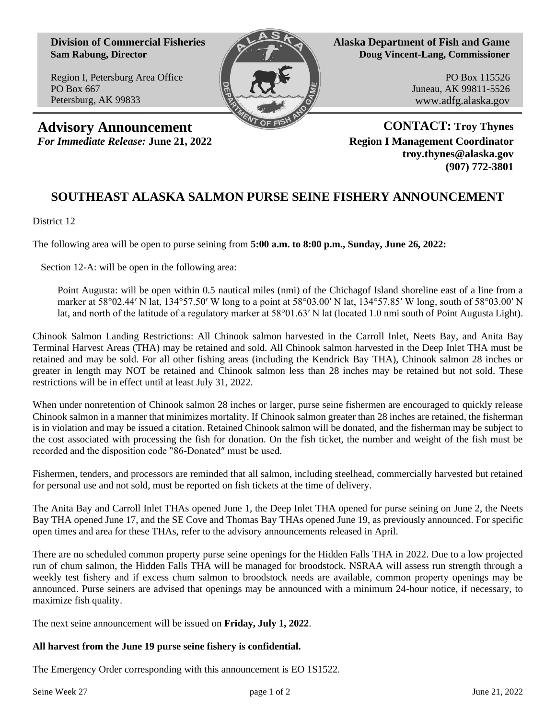**Division of Commercial Fisheries Sam Rabung, Director**

Region I, Petersburg Area Office PO Box 667 Petersburg, AK 99833



**Alaska Department of Fish and Game Doug Vincent-Lang, Commissioner**

> PO Box 115526 Juneau, AK 99811-5526 www.adfg.alaska.gov

**Advisory Announcement CONTACT: Troy Thynes** *For Immediate Release:* **June 21, 2022 Region I Management Coordinator**

**troy.thynes@alaska.gov (907) 772-3801**

## **SOUTHEAST ALASKA SALMON PURSE SEINE FISHERY ANNOUNCEMENT**

District 12

The following area will be open to purse seining from **5:00 a.m. to 8:00 p.m., Sunday, June 26, 2022:**

Section 12-A: will be open in the following area:

Point Augusta: will be open within 0.5 nautical miles (nmi) of the Chichagof Island shoreline east of a line from a marker at 58°02.44′ N lat, 134°57.50′ W long to a point at 58°03.00′ N lat, 134°57.85′ W long, south of 58°03.00′ N lat, and north of the latitude of a regulatory marker at 58°01.63′ N lat (located 1.0 nmi south of Point Augusta Light).

Chinook Salmon Landing Restrictions: All Chinook salmon harvested in the Carroll Inlet, Neets Bay, and Anita Bay Terminal Harvest Areas (THA) may be retained and sold. All Chinook salmon harvested in the Deep Inlet THA must be retained and may be sold. For all other fishing areas (including the Kendrick Bay THA), Chinook salmon 28 inches or greater in length may NOT be retained and Chinook salmon less than 28 inches may be retained but not sold. These restrictions will be in effect until at least July 31, 2022.

When under nonretention of Chinook salmon 28 inches or larger, purse seine fishermen are encouraged to quickly release Chinook salmon in a manner that minimizes mortality. If Chinook salmon greater than 28 inches are retained, the fisherman is in violation and may be issued a citation. Retained Chinook salmon will be donated, and the fisherman may be subject to the cost associated with processing the fish for donation. On the fish ticket, the number and weight of the fish must be recorded and the disposition code "86-Donated" must be used.

Fishermen, tenders, and processors are reminded that all salmon, including steelhead, commercially harvested but retained for personal use and not sold, must be reported on fish tickets at the time of delivery.

The Anita Bay and Carroll Inlet THAs opened June 1, the Deep Inlet THA opened for purse seining on June 2, the Neets Bay THA opened June 17, and the SE Cove and Thomas Bay THAs opened June 19, as previously announced. For specific open times and area for these THAs, refer to the advisory announcements released in April.

There are no scheduled common property purse seine openings for the Hidden Falls THA in 2022. Due to a low projected run of chum salmon, the Hidden Falls THA will be managed for broodstock. NSRAA will assess run strength through a weekly test fishery and if excess chum salmon to broodstock needs are available, common property openings may be announced. Purse seiners are advised that openings may be announced with a minimum 24-hour notice, if necessary, to maximize fish quality.

The next seine announcement will be issued on **Friday, July 1, 2022**.

## **All harvest from the June 19 purse seine fishery is confidential.**

The Emergency Order corresponding with this announcement is EO 1S1522.